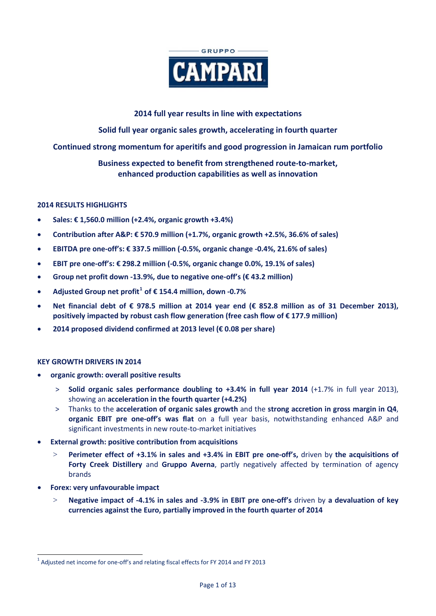

## **2014 full year results in line with expectations**

**Solid full year organic sales growth, accelerating in fourth quarter**

## **Continued strong momentum for aperitifs and good progression in Jamaican rum portfolio**

# **Business expected to benefit from strengthened route-to-market, enhanced production capabilities as well as innovation**

### **2014 RESULTS HIGHLIGHTS**

- **Sales: € 1,560.0 million (+2.4%, organic growth +3.4%)**
- **Contribution after A&P: € 570.9 million (+1.7%, organic growth +2.5%, 36.6% of sales)**
- **EBITDA pre one-off's: € 337.5 million (-0.5%, organic change -0.4%, 21.6% of sales)**
- **EBIT pre one-off's: € 298.2 million (-0.5%, organic change 0.0%, 19.1% of sales)**
- **Group net profit down -13.9%, due to negative one-off's (€ 43.2 million)**
- **Adjusted Group net profit[1](#page-6-0) of € 154.4 million, down -0.7%**
- **Net financial debt of € 978.5 million at 2014 year end (€ 852.8 million as of 31 December 2013), positively impacted by robust cash flow generation (free cash flow of € 177.9 million)**
- **2014 proposed dividend confirmed at 2013 level (€ 0.08 per share)**

### **KEY GROWTH DRIVERS IN 2014**

- **organic growth: overall positive results** 
	- > **Solid organic sales performance doubling to +3.4% in full year 2014** (+1.7% in full year 2013), showing an **acceleration in the fourth quarter (+4.2%)**
	- > Thanks to the **acceleration of organic sales growth** and the **strong accretion in gross margin in Q4**, **organic EBIT pre one-off's was flat** on a full year basis, notwithstanding enhanced A&P and significant investments in new route-to-market initiatives
- **External growth: positive contribution from acquisitions**
	- > **Perimeter effect of +3.1% in sales and +3.4% in EBIT pre one-off's,** driven by **the acquisitions of Forty Creek Distillery** and **Gruppo Averna**, partly negatively affected by termination of agency brands
- **Forex: very unfavourable impact**
	- > **Negative impact of -4.1% in sales and -3.9% in EBIT pre one-off's** driven by **a devaluation of key currencies against the Euro, partially improved in the fourth quarter of 2014**

<span id="page-0-0"></span> $<sup>1</sup>$  Adjusted net income for one-off's and relating fiscal effects for FY 2014 and FY 2013</sup>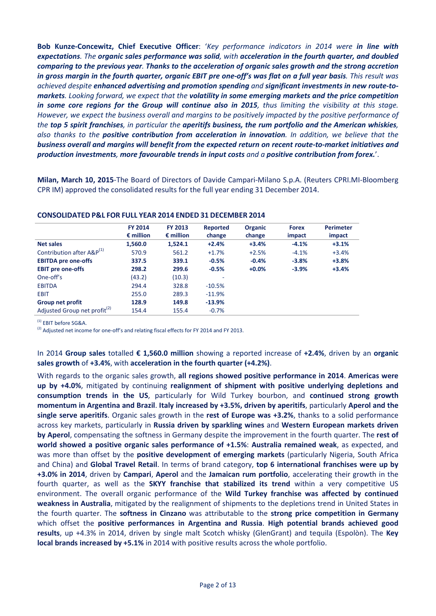**Bob Kunze-Concewitz, Chief Executive Officer**: '*Key performance indicators in 2014 were in line with expectations. The organic sales performance was solid, with acceleration in the fourth quarter, and doubled comparing to the previous year. Thanks to the acceleration of organic sales growth and the strong accretion in gross margin in the fourth quarter, organic EBIT pre one-off's was flat on a full year basis. This result was achieved despite enhanced advertising and promotion spending and significant investments in new route-tomarkets. Looking forward, we expect that the volatility in some emerging markets and the price competition in some core regions for the Group will continue also in 2015, thus limiting the visibility at this stage. However, we expect the business overall and margins to be positively impacted by the positive performance of the top 5 spirit franchises, in particular the aperitifs business, the rum portfolio and the American whiskies, also thanks to the positive contribution from acceleration in innovation. In addition, we believe that the business overall and margins will benefit from the expected return on recent route-to-market initiatives and production investments, more favourable trends in input costs and a positive contribution from forex.*'.

**Milan, March 10, 2015**-The Board of Directors of Davide Campari-Milano S.p.A. (Reuters CPRI.MI-Bloomberg CPR IM) approved the consolidated results for the full year ending 31 December 2014.

|                                          | <b>FY 2014</b><br>$\epsilon$ million | <b>FY 2013</b><br>$\epsilon$ million | <b>Reported</b><br>change | <b>Organic</b><br>change | <b>Forex</b><br>impact | <b>Perimeter</b><br>impact |
|------------------------------------------|--------------------------------------|--------------------------------------|---------------------------|--------------------------|------------------------|----------------------------|
| <b>Net sales</b>                         | 1,560.0                              | 1.524.1                              | $+2.4%$                   | $+3.4%$                  | $-4.1%$                | $+3.1%$                    |
| Contribution after A&P <sup>(1)</sup>    | 570.9                                | 561.2                                | $+1.7%$                   | $+2.5%$                  | $-4.1%$                | $+3.4%$                    |
| <b>EBITDA pre one-offs</b>               | 337.5                                | 339.1                                | $-0.5%$                   | $-0.4%$                  | $-3.8%$                | $+3.8%$                    |
| <b>EBIT pre one-offs</b>                 | 298.2                                | 299.6                                | $-0.5%$                   | $+0.0%$                  | $-3.9%$                | $+3.4%$                    |
| One-off's                                | (43.2)                               | (10.3)                               |                           |                          |                        |                            |
| <b>EBITDA</b>                            | 294.4                                | 328.8                                | $-10.5%$                  |                          |                        |                            |
| <b>EBIT</b>                              | 255.0                                | 289.3                                | $-11.9%$                  |                          |                        |                            |
| <b>Group net profit</b>                  | 128.9                                | 149.8                                | $-13.9%$                  |                          |                        |                            |
| Adjusted Group net profit <sup>(2)</sup> | 154.4                                | 155.4                                | $-0.7%$                   |                          |                        |                            |

#### **CONSOLIDATED P&L FOR FULL YEAR 2014 ENDED 31 DECEMBER 2014**

(1) EBIT before SG&A.<br>(2) Adjusted net income for one-off's and relating fiscal effects for FY 2014 and FY 2013.

In 2014 **Group sales** totalled **€ 1,560.0 million** showing a reported increase of **+2.4%**, driven by an **organic sales growth** of **+3.4%**, with **acceleration in the fourth quarter (+4.2%)**.

With regards to the organic sales growth, **all regions showed positive performance in 2014**. **Americas were up by +4.0%**, mitigated by continuing **realignment of shipment with positive underlying depletions and consumption trends in the US**, particularly for Wild Turkey bourbon, and **continued strong growth momentum in Argentina and Brazil**. **Italy increased by +3.5%, driven by aperitifs**, particularly **Aperol and the single serve aperitifs**. Organic sales growth in the **rest of Europe was +3.2%**, thanks to a solid performance across key markets, particularly in **Russia driven by sparkling wines** and **Western European markets driven by Aperol**, compensating the softness in Germany despite the improvement in the fourth quarter. The **rest of world showed a positive organic sales performance of +1.5%**: **Australia remained weak**, as expected, and was more than offset by the **positive development of emerging markets** (particularly Nigeria, South Africa and China) and **Global Travel Retail**. In terms of brand category, **top 6 international franchises were up by +3.0% in 2014**, driven by **Campari**, **Aperol** and the **Jamaican rum portfolio**, accelerating their growth in the fourth quarter, as well as the **SKYY franchise that stabilized its trend** within a very competitive US environment. The overall organic performance of the **Wild Turkey franchise was affected by continued weakness in Australia**, mitigated by the realignment of shipments to the depletions trend in United States in the fourth quarter. The **softness in Cinzano** was attributable to the **strong price competition in Germany** which offset the **positive performances in Argentina and Russia**. **High potential brands achieved good results**, up +4.3% in 2014, driven by single malt Scotch whisky (GlenGrant) and tequila (Espolòn). The **Key local brands increased by +5.1%** in 2014 with positive results across the whole portfolio.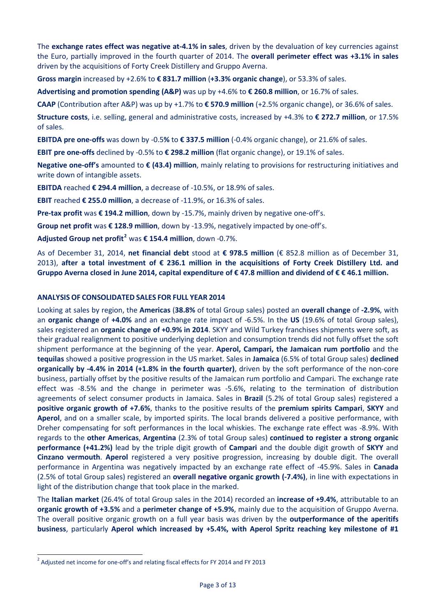The **exchange rates effect was negative at-4.1% in sales**, driven by the devaluation of key currencies against the Euro, partially improved in the fourth quarter of 2014. The **overall perimeter effect was +3.1% in sales** driven by the acquisitions of Forty Creek Distillery and Gruppo Averna.

**Gross margin** increased by +2.6% to **€ 831.7 million** (**+3.3% organic change**), or 53.3% of sales.

**Advertising and promotion spending (A&P)** was up by +4.6% to **€ 260.8 million**, or 16.7% of sales.

**CAAP** (Contribution after A&P) was up by +1.7% to **€ 570.9 million** (+2.5% organic change), or 36.6% of sales.

**Structure costs**, i.e. selling, general and administrative costs, increased by +4.3% to **€ 272.7 million**, or 17.5% of sales.

**EBITDA pre one-offs** was down by -0.5**%** to **€ 337.5 million** (-0.4% organic change), or 21.6% of sales.

**EBIT pre one-offs** declined by -0.5% to **€ 298.2 million** (flat organic change), or 19.1% of sales.

**Negative one-off's** amounted to **€ (43.4) million**, mainly relating to provisions for restructuring initiatives and write down of intangible assets.

**EBITDA** reached **€ 294.4 million**, a decrease of -10.5%, or 18.9% of sales.

**EBIT** reached **€ 255.0 million**, a decrease of -11.9%, or 16.3% of sales.

**Pre-tax profit** was **€ 194.2 million**, down by -15.7%, mainly driven by negative one-off's.

**Group net profit** was **€ 128.9 million**, down by -13.9%, negatively impacted by one-off's.

**Adjusted Group net profit[2](#page-0-0)** was **€ 154.4 million**, down -0.7%.

As of December 31, 2014, **net financial debt** stood at **€ 978.5 million** (€ 852.8 million as of December 31, 2013), **after a total investment of € 236.1 million in the acquisitions of Forty Creek Distillery Ltd. and Gruppo Averna closed in June 2014, capital expenditure of € 47.8 million and dividend of € € 46.1 million.**

### **ANALYSIS OF CONSOLIDATED SALES FOR FULL YEAR 2014**

Looking at sales by region, the **Americas** (**38.8%** of total Group sales) posted an **overall change** of **-2.9%**, with an **organic change** of **+4.0%** and an exchange rate impact of -6.5%. In the **US** (19.6% of total Group sales), sales registered an **organic change of +0.9% in 2014**. SKYY and Wild Turkey franchises shipments were soft, as their gradual realignment to positive underlying depletion and consumption trends did not fully offset the soft shipment performance at the beginning of the year. **Aperol, Campari, the Jamaican rum portfolio** and the **tequilas** showed a positive progression in the US market. Sales in **Jamaica** (6.5% of total Group sales) **declined organically by -4.4% in 2014 (+1.8% in the fourth quarter)**, driven by the soft performance of the non-core business, partially offset by the positive results of the Jamaican rum portfolio and Campari. The exchange rate effect was -8.5% and the change in perimeter was -5.6%, relating to the termination of distribution agreements of select consumer products in Jamaica. Sales in **Brazil** (5.2% of total Group sales) registered a **positive organic growth of +7.6%**, thanks to the positive results of the **premium spirits Campari**, **SKYY** and **Aperol**, and on a smaller scale, by imported spirits. The local brands delivered a positive performance, with Dreher compensating for soft performances in the local whiskies. The exchange rate effect was -8.9%. With regards to the **other Americas**, **Argentina** (2.3% of total Group sales) **continued to register a strong organic performance (+41.2%)** lead by the triple digit growth of **Campari** and the double digit growth of **SKYY** and **Cinzano vermouth**. **Aperol** registered a very positive progression, increasing by double digit. The overall performance in Argentina was negatively impacted by an exchange rate effect of -45.9%. Sales in **Canada**  (2.5% of total Group sales) registered an **overall negative organic growth (-7.4%)**, in line with expectations in light of the distribution change that took place in the marked.

The **Italian market** (26.4% of total Group sales in the 2014) recorded an **increase of +9.4%**, attributable to an **organic growth of +3.5%** and a **perimeter change of +5.9%**, mainly due to the acquisition of Gruppo Averna. The overall positive organic growth on a full year basis was driven by the **outperformance of the aperitifs business**, particularly **Aperol which increased by +5.4%, with Aperol Spritz reaching key milestone of #1** 

<span id="page-2-0"></span> $2$  Adjusted net income for one-off's and relating fiscal effects for FY 2014 and FY 2013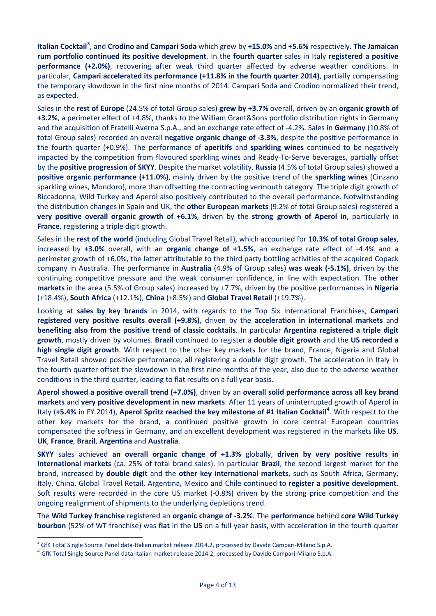**Italian Cocktail[3](#page-2-0)** , and **Crodino and Campari Soda** which grew by **+15.0%** and **+5.6%** respectively. **The Jamaican rum portfolio continued its positive development**. In the **fourth quarter** sales in Italy **registered a positive performance (+2.0%)**, recovering after weak third quarter affected by adverse weather conditions. In particular, **Campari accelerated its performance (+11.8% in the fourth quarter 2014)**, partially compensating the temporary slowdown in the first nine months of 2014. Campari Soda and Crodino normalized their trend, as expected.

Sales in the **rest of Europe** (24.5% of total Group sales) **grew by +3.7%** overall, driven by an **organic growth of +3.2%**, a perimeter effect of +4.8%, thanks to the William Grant&Sons portfolio distribution rights in Germany and the acquisition of Fratelli Averna S.p.A., and an exchange rate effect of -4.2%. Sales in **Germany** (10.8% of total Group sales) recorded an overall **negative organic change of -3.3%**, despite the positive performance in the fourth quarter (+0.9%). The performance of **aperitifs** and **sparkling wines** continued to be negatively impacted by the competition from flavoured sparkling wines and Ready-To-Serve beverages, partially offset by the **positive progression of SKYY**. Despite the market volatility, **Russia** (4.5% of total Group sales) showed a **positive organic performance (+11.0%)**, mainly driven by the positive trend of the **sparkling wines** (Cinzano sparkling wines, Mondoro), more than offsetting the contracting vermouth category. The triple digit growth of Riccadonna, Wild Turkey and Aperol also positively contributed to the overall performance. Notwithstanding the distribution changes in Spain and UK, the **other European markets** (9.2% of total Group sales) registered a **very positive overall organic growth of +6.1%**, driven by the **strong growth of Aperol in**, particularly in **France**, registering a triple digit growth.

Sales in the **rest of the world** (including Global Travel Retail), which accounted for **10.3% of total Group sales**, increased by **+3.0%** overall, with an **organic change of +1.5%**, an exchange rate effect of -4.4% and a perimeter growth of +6.0%, the latter attributable to the third party bottling activities of the acquired Copack company in Australia. The performance in **Australia** (4.9% of Group sales) **was weak (-5.1%)**, driven by the continuing competitive pressure and the weak consumer confidence, in line with expectation. The **other markets** in the area (5.5% of Group sales) increased by +7.7%, driven by the positive performances in **Nigeria** (+18.4%), **South Africa** (+12.1%), **China** (+8.5%) and **Global Travel Retail** (+19.7%).

Looking at **sales by key brands** in 2014, with regards to the Top Six International Franchises, **Campari registered very positive results overall (+9.8%)**, driven by the **acceleration in international markets** and **benefiting also from the positive trend of classic cocktails**. In particular **Argentina registered a triple digit growth**, mostly driven by volumes. **Brazil** continued to register a **double digit growth** and the **US recorded a high single digit growth**. With respect to the other key markets for the brand, France, Nigeria and Global Travel Retail showed positive performance, all registering a double digit growth. The acceleration in Italy in the fourth quarter offset the slowdown in the first nine months of the year, also due to the adverse weather conditions in the third quarter, leading to flat results on a full year basis.

**Aperol showed a positive overall trend (+7.0%)**, driven by an **overall solid performance across all key brand markets** and **very positive development in new markets**. After 11 years of uninterrupted growth of Aperol in Italy (**+5.4%** in FY 2014), **Aperol Spritz reached the key milestone of #1 Italian Cocktail[4](#page-3-0)** . With respect to the other key markets for the brand, a continued positive growth in core central European countries compensated the softness in Germany, and an excellent development was registered in the markets like **US**, **UK**, **France**, **Brazil**, **Argentina** and **Australia**.

**SKYY** sales achieved **an overall organic change of +1.3%** globally, **driven by very positive results in International markets** (ca. 25% of total brand sales). In particular **Brazil**, the second largest market for the brand, increased by **double digit** and the **other key international markets**, such as South Africa, Germany, Italy, China, Global Travel Retail, Argentina, Mexico and Chile continued to **register a positive development**. Soft results were recorded in the core US market (-0.8%) driven by the strong price competition and the ongoing realignment of shipments to the underlying depletions trend.

The **Wild Turkey franchise** registered an **organic change of -3.2%**. The **performance** behind **core Wild Turkey bourbon** (52% of WT franchise) was **flat** in the **US** on a full year basis, with acceleration in the fourth quarter

<sup>&</sup>lt;sup>3</sup> GfK Total Single Source Panel data-Italian market release 2014.2, processed by Davide Campari-Milano S.p.A.

<span id="page-3-0"></span> $^4$  GfK Total Single Source Panel data-Italian market release 2014.2, processed by Davide Campari-Milano S.p.A.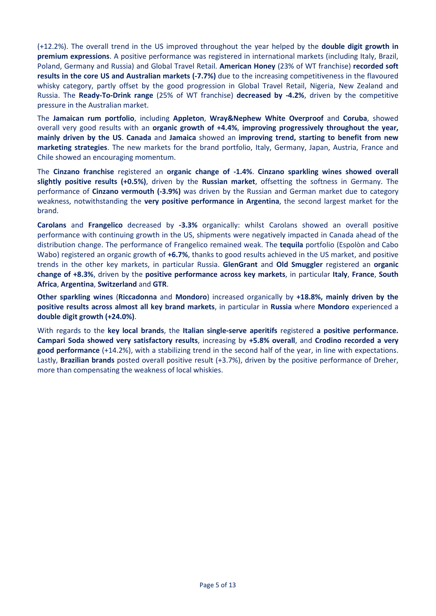(+12.2%). The overall trend in the US improved throughout the year helped by the **double digit growth in premium expressions**. A positive performance was registered in international markets (including Italy, Brazil, Poland, Germany and Russia) and Global Travel Retail. **American Honey** (23% of WT franchise) **recorded soft results in the core US and Australian markets (-7.7%)** due to the increasing competitiveness in the flavoured whisky category, partly offset by the good progression in Global Travel Retail, Nigeria, New Zealand and Russia. The **Ready-To-Drink range** (25% of WT franchise) **decreased by -4.2%**, driven by the competitive pressure in the Australian market.

The **Jamaican rum portfolio**, including **Appleton**, **Wray&Nephew White Overproof** and **Coruba**, showed overall very good results with an **organic growth of +4.4%**, **improving progressively throughout the year, mainly driven by the US**. **Canada** and **Jamaica** showed an **improving trend, starting to benefit from new marketing strategies**. The new markets for the brand portfolio, Italy, Germany, Japan, Austria, France and Chile showed an encouraging momentum.

The **Cinzano franchise** registered an **organic change of -1.4%**. **Cinzano sparkling wines showed overall slightly positive results (+0.5%)**, driven by the **Russian market**, offsetting the softness in Germany. The performance of **Cinzano vermouth (-3.9%)** was driven by the Russian and German market due to category weakness, notwithstanding the **very positive performance in Argentina**, the second largest market for the brand.

**Carolans** and **Frangelico** decreased by **-3.3%** organically: whilst Carolans showed an overall positive performance with continuing growth in the US, shipments were negatively impacted in Canada ahead of the distribution change. The performance of Frangelico remained weak. The **tequila** portfolio (Espolòn and Cabo Wabo) registered an organic growth of **+6.7%**, thanks to good results achieved in the US market, and positive trends in the other key markets, in particular Russia. **GlenGrant** and **Old Smuggler** registered an **organic change of +8.3%**, driven by the **positive performance across key markets**, in particular **Italy**, **France**, **South Africa**, **Argentina**, **Switzerland** and **GTR**.

**Other sparkling wines** (**Riccadonna** and **Mondoro**) increased organically by **+18.8%, mainly driven by the positive results across almost all key brand markets**, in particular in **Russia** where **Mondoro** experienced a **double digit growth (+24.0%)**.

With regards to the **key local brands**, the **Italian single-serve aperitifs** registered **a positive performance. Campari Soda showed very satisfactory results**, increasing by **+5.8% overall**, and **Crodino recorded a very good performance** (+14.2%), with a stabilizing trend in the second half of the year, in line with expectations. Lastly, **Brazilian brands** posted overall positive result (+3.7%), driven by the positive performance of Dreher, more than compensating the weakness of local whiskies.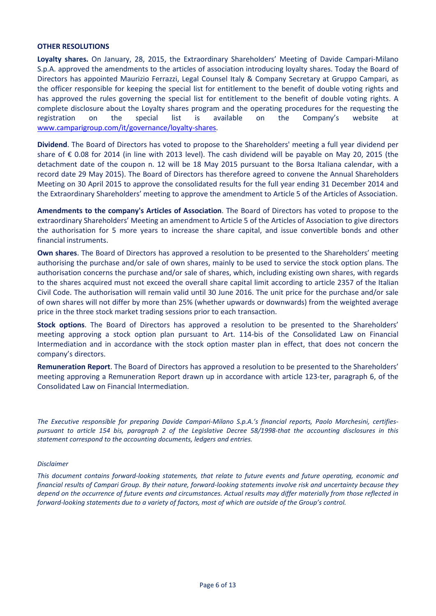### **OTHER RESOLUTIONS**

**Loyalty shares.** On January, 28, 2015, the Extraordinary Shareholders' Meeting of Davide Campari-Milano S.p.A. approved the amendments to the articles of association introducing loyalty shares. Today the Board of Directors has appointed Maurizio Ferrazzi, Legal Counsel Italy & Company Secretary at Gruppo Campari, as the officer responsible for keeping the special list for entitlement to the benefit of double voting rights and has approved the rules governing the special list for entitlement to the benefit of double voting rights. A complete disclosure about the Loyalty shares program and the operating procedures for the requesting the registration on the special list is available on the Company's website at [www.camparigroup.com/it/governance/loyalty-shares.](http://www.camparigroup.com/it/governance/loyalty-shares)

**Dividend**. The Board of Directors has voted to propose to the Shareholders' meeting a full year dividend per share of € 0.08 for 2014 (in line with 2013 level). The cash dividend will be payable on May 20, 2015 (the detachment date of the coupon n. 12 will be 18 May 2015 pursuant to the Borsa Italiana calendar, with a record date 29 May 2015). The Board of Directors has therefore agreed to convene the Annual Shareholders Meeting on 30 April 2015 to approve the consolidated results for the full year ending 31 December 2014 and the Extraordinary Shareholders' meeting to approve the amendment to Article 5 of the Articles of Association.

**Amendments to the company's Articles of Association**. The Board of Directors has voted to propose to the extraordinary Shareholders' Meeting an amendment to Article 5 of the Articles of Association to give directors the authorisation for 5 more years to increase the share capital, and issue convertible bonds and other financial instruments.

**Own shares**. The Board of Directors has approved a resolution to be presented to the Shareholders' meeting authorising the purchase and/or sale of own shares, mainly to be used to service the stock option plans. The authorisation concerns the purchase and/or sale of shares, which, including existing own shares, with regards to the shares acquired must not exceed the overall share capital limit according to article 2357 of the Italian Civil Code. The authorisation will remain valid until 30 June 2016. The unit price for the purchase and/or sale of own shares will not differ by more than 25% (whether upwards or downwards) from the weighted average price in the three stock market trading sessions prior to each transaction.

**Stock options**. The Board of Directors has approved a resolution to be presented to the Shareholders' meeting approving a stock option plan pursuant to Art. 114-bis of the Consolidated Law on Financial Intermediation and in accordance with the stock option master plan in effect, that does not concern the company's directors.

**Remuneration Report**. The Board of Directors has approved a resolution to be presented to the Shareholders' meeting approving a Remuneration Report drawn up in accordance with article 123-ter, paragraph 6, of the Consolidated Law on Financial Intermediation.

*The Executive responsible for preparing Davide Campari-Milano S.p.A.'s financial reports, Paolo Marchesini, certifiespursuant to article 154 bis, paragraph 2 of the Legislative Decree 58/1998-that the accounting disclosures in this statement correspond to the accounting documents, ledgers and entries.* 

#### *Disclaimer*

*This document contains forward-looking statements, that relate to future events and future operating, economic and financial results of Campari Group. By their nature, forward-looking statements involve risk and uncertainty because they depend on the occurrence of future events and circumstances. Actual results may differ materially from those reflected in forward-looking statements due to a variety of factors, most of which are outside of the Group's control.*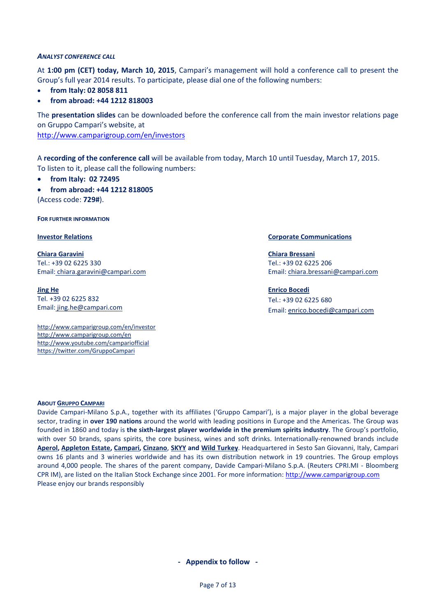### *ANALYST CONFERENCE CALL*

At **1:00 pm (CET) today, March 10, 2015**, Campari's management will hold a conference call to present the Group's full year 2014 results. To participate, please dial one of the following numbers:

- **from Italy: 02 8058 811**
- **from abroad: +44 1212 818003**

The **presentation slides** can be downloaded before the conference call from the main investor relations page on Gruppo Campari's website, at <http://www.camparigroup.com/en/investors>

A **recording of the conference call** will be available from today, March 10 until Tuesday, March 17, 2015. To listen to it, please call the following numbers:

• **from Italy: 02 72495**

• **from abroad: +44 1212 818005**

(Access code: **729#**).

**FOR FURTHER INFORMATION**

**Chiara Garavini** Tel.: +39 02 6225 330 Email: [chiara.garavini@campari.com](mailto:chiara.garavini@campari.com)

**Jing He** Tel. +39 02 6225 832 Email: jing.he@campari.com

http://www.camparigroup.com/en/investor http://www.camparigroup.com/en http://www.youtube.com/campariofficial <https://twitter.com/GruppoCampari>

**Investor Relations Corporate Communications**

**Chiara Bressani** Tel.: +39 02 6225 206 Email[: chiara.bressani@campari.com](mailto:chiara.bressani@campari.com)

**Enrico Bocedi** Tel.: +39 02 6225 680 Email: enrico.bocedi@campari.com

#### **ABOU[T GRUPPO CAMPARI](http://www.camparigroup.com/en/index.shtml)**

<span id="page-6-0"></span>Davide Campari-Milano S.p.A., together with its affiliates ('Gruppo Campari'), is a major player in the global beverage sector, trading in **over 190 nations** around the world with leading positions in Europe and the Americas. The Group was founded in 1860 and today is **the sixth-largest player worldwide in the premium spirits industry**. The Group's portfolio, with over 50 brands, spans spirits, the core business, wines and soft drinks. Internationally-renowned brands include **[Aperol,](http://www.aperol.com/?http%3A//www.aperol.com/) [Appleton](http://www.appletonestate.com/) Estate, [Campari,](http://www.campari.com/) [Cinzano](http://www.cinzano.com/)**, **[SKYY](http://www.skyy.com/) and [Wild Turkey](http://www.wildturkeybourbon.com.au/)**. Headquartered in Sesto San Giovanni, Italy, Campari owns 16 plants and 3 wineries worldwide and has its own distribution network in 19 countries. The Group employs around 4,000 people. The shares of the parent company, Davide Campari-Milano S.p.A. (Reuters CPRI.MI - Bloomberg CPR IM), are listed on the Italian Stock Exchange since 2001. For more information: [http://www.camparigroup.com](http://www.camparigroup.com/) Please enjoy our brands responsibly

**- Appendix to follow -**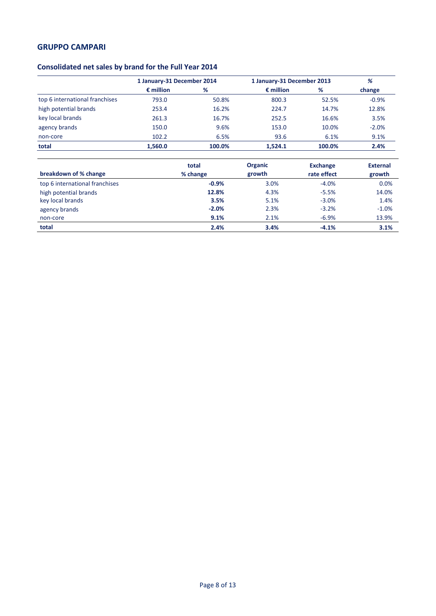# **Consolidated net sales by brand for the Full Year 2014**

|                                | 1 January-31 December 2014 |        |                    | 1 January-31 December 2013 |         |  |
|--------------------------------|----------------------------|--------|--------------------|----------------------------|---------|--|
|                                | $\epsilon$ million         | %      | $\epsilon$ million | %                          | change  |  |
| top 6 international franchises | 793.0                      | 50.8%  | 800.3              | 52.5%                      | $-0.9%$ |  |
| high potential brands          | 253.4                      | 16.2%  | 224.7              | 14.7%                      | 12.8%   |  |
| key local brands               | 261.3                      | 16.7%  | 252.5              | 16.6%                      | 3.5%    |  |
| agency brands                  | 150.0                      | 9.6%   | 153.0              | 10.0%                      | $-2.0%$ |  |
| non-core                       | 102.2                      | 6.5%   | 93.6               | 6.1%                       | 9.1%    |  |
| total                          | 1,560.0                    | 100.0% | 1.524.1            | 100.0%                     | 2.4%    |  |

|                                | total    | <b>Organic</b> | <b>Exchange</b> | <b>External</b> |
|--------------------------------|----------|----------------|-----------------|-----------------|
| breakdown of % change          | % change | growth         | rate effect     | growth          |
| top 6 international franchises | $-0.9%$  | 3.0%           | $-4.0%$         | 0.0%            |
| high potential brands          | 12.8%    | 4.3%           | $-5.5%$         | 14.0%           |
| key local brands               | 3.5%     | 5.1%           | $-3.0%$         | 1.4%            |
| agency brands                  | $-2.0%$  | 2.3%           | $-3.2%$         | $-1.0%$         |
| non-core                       | 9.1%     | 2.1%           | $-6.9%$         | 13.9%           |
| total                          | 2.4%     | 3.4%           | $-4.1%$         | 3.1%            |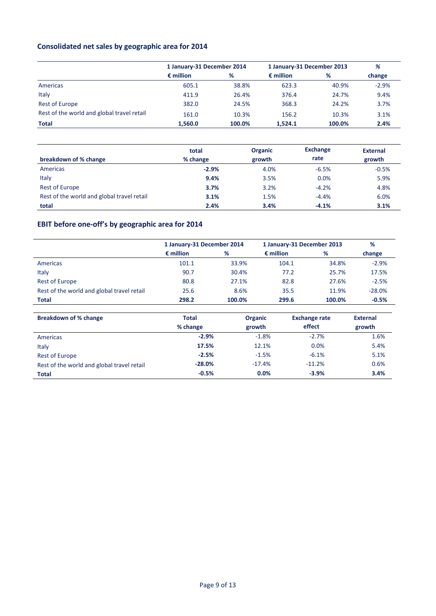# **Consolidated net sales by geographic area for 2014**

|                                            | 1 January-31 December 2014 |        | 1 January-31 December 2013 |        | %       |
|--------------------------------------------|----------------------------|--------|----------------------------|--------|---------|
|                                            | $\epsilon$ million         | %      | $\epsilon$ million         | %      | change  |
| Americas                                   | 605.1                      | 38.8%  | 623.3                      | 40.9%  | $-2.9%$ |
| Italy                                      | 411.9                      | 26.4%  | 376.4                      | 24.7%  | 9.4%    |
| Rest of Europe                             | 382.0                      | 24.5%  | 368.3                      | 24.2%  | 3.7%    |
| Rest of the world and global travel retail | 161.0                      | 10.3%  | 156.2                      | 10.3%  | 3.1%    |
| <b>Total</b>                               | 1.560.0                    | 100.0% | 1.524.1                    | 100.0% | 2.4%    |

| breakdown of % change                      | total<br>% change | <b>Organic</b><br>growth | <b>Exchange</b><br>rate | <b>External</b><br>growth |
|--------------------------------------------|-------------------|--------------------------|-------------------------|---------------------------|
| Americas                                   | $-2.9%$           | 4.0%                     | $-6.5%$                 | $-0.5%$                   |
| Italy                                      | 9.4%              | 3.5%                     | 0.0%                    | 5.9%                      |
| <b>Rest of Europe</b>                      | 3.7%              | 3.2%                     | $-4.2%$                 | 4.8%                      |
| Rest of the world and global travel retail | 3.1%              | 1.5%                     | $-4.4%$                 | 6.0%                      |
| total                                      | 2.4%              | 3.4%                     | $-4.1%$                 | 3.1%                      |

# **EBIT before one-off's by geographic area for 2014**

|                                            | 1 January-31 December 2014 |        | 1 January-31 December 2013 |        | %        |
|--------------------------------------------|----------------------------|--------|----------------------------|--------|----------|
|                                            | $\epsilon$ million         | %      | $\epsilon$ million         | %      | change   |
| Americas                                   | 101.1                      | 33.9%  | 104.1                      | 34.8%  | $-2.9%$  |
| Italy                                      | 90.7                       | 30.4%  | 77.2                       | 25.7%  | 17.5%    |
| <b>Rest of Europe</b>                      | 80.8                       | 27.1%  | 82.8                       | 27.6%  | $-2.5%$  |
| Rest of the world and global travel retail | 25.6                       | 8.6%   | 35.5                       | 11.9%  | $-28.0%$ |
| <b>Total</b>                               | 298.2                      | 100.0% | 299.6                      | 100.0% | $-0.5%$  |

| <b>Breakdown of % change</b>               | <b>Total</b> | <b>Organic</b> | <b>Exchange rate</b> | <b>External</b> |
|--------------------------------------------|--------------|----------------|----------------------|-----------------|
|                                            | % change     | growth         | effect               | growth          |
| Americas                                   | $-2.9%$      | $-1.8%$        | $-2.7%$              | 1.6%            |
| Italy                                      | 17.5%        | 12.1%          | 0.0%                 | 5.4%            |
| <b>Rest of Europe</b>                      | $-2.5%$      | $-1.5%$        | $-6.1%$              | 5.1%            |
| Rest of the world and global travel retail | $-28.0%$     | $-17.4%$       | $-11.2%$             | 0.6%            |
| <b>Total</b>                               | $-0.5%$      | 0.0%           | $-3.9%$              | 3.4%            |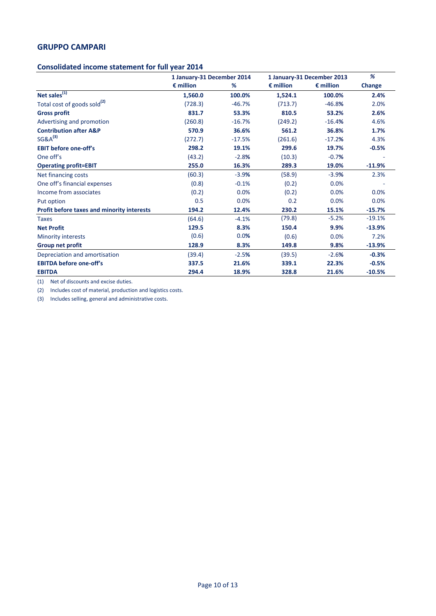## **Consolidated income statement for full year 2014**

|                                            | 1 January-31 December 2014 |          |                    | 1 January-31 December 2013 | %        |
|--------------------------------------------|----------------------------|----------|--------------------|----------------------------|----------|
|                                            | $\epsilon$ million         | %        | $\epsilon$ million | $\epsilon$ million         | Change   |
| Net sales $^{(1)}$                         | 1,560.0                    | 100.0%   | 1,524.1            | 100.0%                     | 2.4%     |
| Total cost of goods sold <sup>(2)</sup>    | (728.3)                    | $-46.7%$ | (713.7)            | $-46.8%$                   | 2.0%     |
| <b>Gross profit</b>                        | 831.7                      | 53.3%    | 810.5              | 53.2%                      | 2.6%     |
| Advertising and promotion                  | (260.8)                    | $-16.7%$ | (249.2)            | $-16.4%$                   | 4.6%     |
| <b>Contribution after A&amp;P</b>          | 570.9                      | 36.6%    | 561.2              | 36.8%                      | 1.7%     |
| $SG&A^{(3)}$                               | (272.7)                    | $-17.5%$ | (261.6)            | $-17.2%$                   | 4.3%     |
| <b>EBIT before one-off's</b>               | 298.2                      | 19.1%    | 299.6              | 19.7%                      | $-0.5%$  |
| One off's                                  | (43.2)                     | $-2.8%$  | (10.3)             | $-0.7%$                    |          |
| <b>Operating profit=EBIT</b>               | 255.0                      | 16.3%    | 289.3              | 19.0%                      | $-11.9%$ |
| Net financing costs                        | (60.3)                     | $-3.9%$  | (58.9)             | $-3.9%$                    | 2.3%     |
| One off's financial expenses               | (0.8)                      | $-0.1%$  | (0.2)              | 0.0%                       |          |
| Income from associates                     | (0.2)                      | 0.0%     | (0.2)              | 0.0%                       | 0.0%     |
| Put option                                 | 0.5                        | 0.0%     | 0.2                | 0.0%                       | 0.0%     |
| Profit before taxes and minority interests | 194.2                      | 12.4%    | 230.2              | 15.1%                      | $-15.7%$ |
| <b>Taxes</b>                               | (64.6)                     | $-4.1%$  | (79.8)             | $-5.2%$                    | $-19.1%$ |
| <b>Net Profit</b>                          | 129.5                      | 8.3%     | 150.4              | 9.9%                       | $-13.9%$ |
| <b>Minority interests</b>                  | (0.6)                      | 0.0%     | (0.6)              | 0.0%                       | 7.2%     |
| <b>Group net profit</b>                    | 128.9                      | 8.3%     | 149.8              | 9.8%                       | $-13.9%$ |
| Depreciation and amortisation              | (39.4)                     | $-2.5%$  | (39.5)             | $-2.6%$                    | $-0.3%$  |
| <b>EBITDA before one-off's</b>             | 337.5                      | 21.6%    | 339.1              | 22.3%                      | $-0.5%$  |
| <b>EBITDA</b>                              | 294.4                      | 18.9%    | 328.8              | 21.6%                      | $-10.5%$ |

(1) Net of discounts and excise duties.

(2) Includes cost of material, production and logistics costs.

(3) Includes selling, general and administrative costs.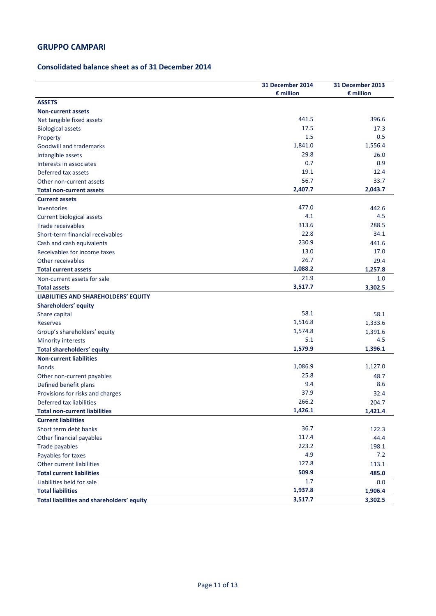# **Consolidated balance sheet as of 31 December 2014**

|                                            | <b>31 December 2014</b><br>$\epsilon$ million | <b>31 December 2013</b><br>$\epsilon$ million |
|--------------------------------------------|-----------------------------------------------|-----------------------------------------------|
| <b>ASSETS</b>                              |                                               |                                               |
| <b>Non-current assets</b>                  |                                               |                                               |
| Net tangible fixed assets                  | 441.5                                         | 396.6                                         |
| <b>Biological assets</b>                   | 17.5                                          | 17.3                                          |
| Property                                   | 1.5                                           | 0.5                                           |
| <b>Goodwill and trademarks</b>             | 1,841.0                                       | 1,556.4                                       |
| Intangible assets                          | 29.8                                          | 26.0                                          |
| Interests in associates                    | 0.7                                           | 0.9                                           |
| Deferred tax assets                        | 19.1                                          | 12.4                                          |
| Other non-current assets                   | 56.7                                          | 33.7                                          |
| <b>Total non-current assets</b>            | 2,407.7                                       | 2,043.7                                       |
| <b>Current assets</b>                      |                                               |                                               |
| Inventories                                | 477.0                                         | 442.6                                         |
| Current biological assets                  | 4.1                                           | 4.5                                           |
| Trade receivables                          | 313.6                                         | 288.5                                         |
| Short-term financial receivables           | 22.8                                          | 34.1                                          |
| Cash and cash equivalents                  | 230.9                                         | 441.6                                         |
| Receivables for income taxes               | 13.0                                          | 17.0                                          |
| Other receivables                          | 26.7                                          | 29.4                                          |
| <b>Total current assets</b>                | 1,088.2                                       | 1,257.8                                       |
| Non-current assets for sale                | 21.9                                          | 1.0                                           |
| <b>Total assets</b>                        | 3,517.7                                       | 3,302.5                                       |
| LIABILITIES AND SHAREHOLDERS' EQUITY       |                                               |                                               |
| Shareholders' equity                       |                                               |                                               |
| Share capital                              | 58.1                                          | 58.1                                          |
| Reserves                                   | 1,516.8                                       | 1,333.6                                       |
| Group's shareholders' equity               | 1,574.8                                       | 1,391.6                                       |
| Minority interests                         | 5.1                                           | 4.5                                           |
| <b>Total shareholders' equity</b>          | 1,579.9                                       | 1,396.1                                       |
| <b>Non-current liabilities</b>             |                                               |                                               |
| <b>Bonds</b>                               | 1,086.9                                       | 1,127.0                                       |
| Other non-current payables                 | 25.8                                          | 48.7                                          |
| Defined benefit plans                      | 9.4                                           | 8.6                                           |
| Provisions for risks and charges           | 37.9                                          | 32.4                                          |
| Deferred tax liabilities                   | 266.2                                         | 204.7                                         |
| <b>Total non-current liabilities</b>       | 1,426.1                                       | 1,421.4                                       |
| <b>Current liabilities</b>                 |                                               |                                               |
| Short term debt banks                      | 36.7                                          | 122.3                                         |
| Other financial payables                   | 117.4                                         | 44.4                                          |
| <b>Trade payables</b>                      | 223.2                                         | 198.1                                         |
| Payables for taxes                         | 4.9                                           | 7.2                                           |
| Other current liabilities                  | 127.8                                         | 113.1                                         |
| <b>Total current liabilities</b>           | 509.9                                         | 485.0                                         |
| Liabilities held for sale                  | 1.7                                           | 0.0                                           |
| <b>Total liabilities</b>                   | 1,937.8                                       | 1,906.4                                       |
| Total liabilities and shareholders' equity | 3,517.7                                       | 3,302.5                                       |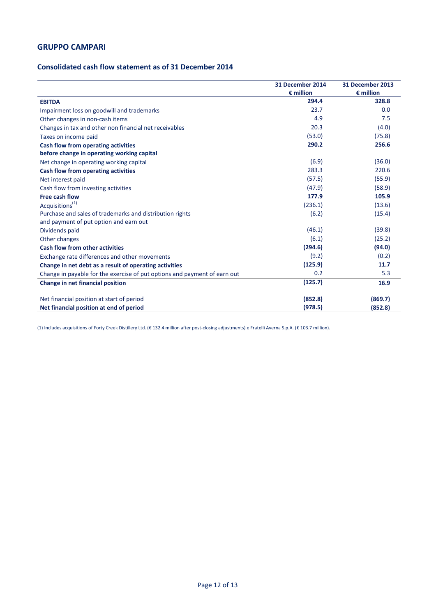# **Consolidated cash flow statement as of 31 December 2014**

|                                                                           | 31 December 2014<br>$\epsilon$ million | 31 December 2013<br>$\epsilon$ million |
|---------------------------------------------------------------------------|----------------------------------------|----------------------------------------|
| <b>EBITDA</b>                                                             | 294.4                                  | 328.8                                  |
| Impairment loss on goodwill and trademarks                                | 23.7                                   | 0.0                                    |
| Other changes in non-cash items                                           | 4.9                                    | 7.5                                    |
| Changes in tax and other non financial net receivables                    | 20.3                                   | (4.0)                                  |
| Taxes on income paid                                                      | (53.0)                                 | (75.8)                                 |
| <b>Cash flow from operating activities</b>                                | 290.2                                  | 256.6                                  |
| before change in operating working capital                                |                                        |                                        |
| Net change in operating working capital                                   | (6.9)                                  | (36.0)                                 |
| <b>Cash flow from operating activities</b>                                | 283.3                                  | 220.6                                  |
| Net interest paid                                                         | (57.5)                                 | (55.9)                                 |
| Cash flow from investing activities                                       | (47.9)                                 | (58.9)                                 |
| Free cash flow                                                            | 177.9                                  | 105.9                                  |
| Acquisitions <sup>(1)</sup>                                               | (236.1)                                | (13.6)                                 |
| Purchase and sales of trademarks and distribution rights                  | (6.2)                                  | (15.4)                                 |
| and payment of put option and earn out                                    |                                        |                                        |
| Dividends paid                                                            | (46.1)                                 | (39.8)                                 |
| Other changes                                                             | (6.1)                                  | (25.2)                                 |
| <b>Cash flow from other activities</b>                                    | (294.6)                                | (94.0)                                 |
| Exchange rate differences and other movements                             | (9.2)                                  | (0.2)                                  |
| Change in net debt as a result of operating activities                    | (125.9)                                | 11.7                                   |
| Change in payable for the exercise of put options and payment of earn out | 0.2                                    | 5.3                                    |
| Change in net financial position                                          | (125.7)                                | 16.9                                   |
| Net financial position at start of period                                 | (852.8)                                | (869.7)                                |
| Net financial position at end of period                                   | (978.5)                                | (852.8)                                |

(1) Includes acquisitions of Forty Creek Distillery Ltd. (€ 132.4 million after post-closing adjustments) e Fratelli Averna S.p.A. (€ 103.7 million).